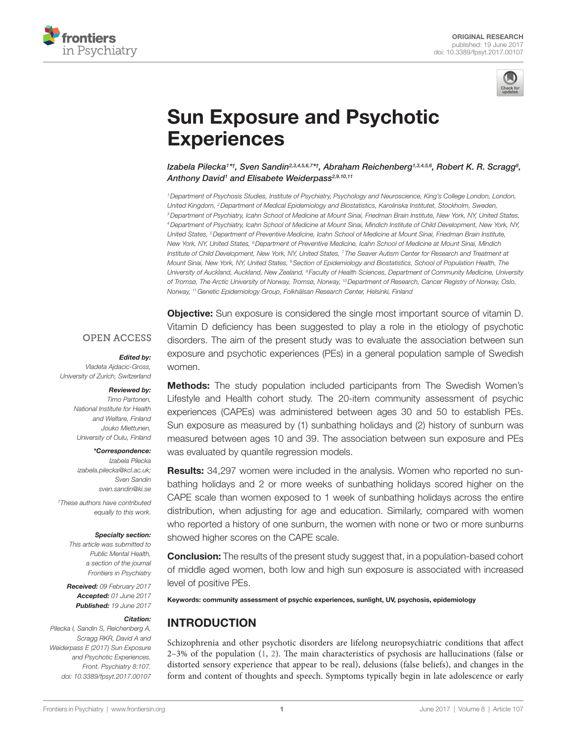



# **Sun Exposure and Psychotic Experiences**

Izabela Pilecka<sup>1׆</sup>, Sven Sandin<sup>2,3,4,5,6,7\*†, [Abraham Reichenberg](http://loop.frontiersin.org/people/20061)<sup>1,3,4,5,6</sup>, Robert K. R. Scragg<sup>s</sup>,</sup> *[Anthony David](http://loop.frontiersin.org/people/206953)1 and [Elisabete Weiderpass2](http://loop.frontiersin.org/people/447623),9,10,11*

*1Department of Psychosis Studies, Institute of Psychiatry, Psychology and Neuroscience, King's College London, London, United Kingdom, 2Department of Medical Epidemiology and Biostatistics, Karolinska Institutet, Stockholm, Sweden, 3Department of Psychiatry, Icahn School of Medicine at Mount Sinai, Friedman Brain Institute, New York, NY, United States, 4Department of Psychiatry, Icahn School of Medicine at Mount Sinai, Mindich Institute of Child Development, New York, NY, United States, 5Department of Preventive Medicine, Icahn School of Medicine at Mount Sinai, Friedman Brain Institute, New York, NY, United States, 6Department of Preventive Medicine, Icahn School of Medicine at Mount Sinai, Mindich Institute of Child Development, New York, NY, United States, 7 The Seaver Autism Center for Research and Treatment at Mount Sinai, New York, NY, United States, 8Section of Epidemiology and Biostatistics, School of Population Health, The University of Auckland, Auckland, New Zealand, 9 Faculty of Health Sciences, Department of Community Medicine, University of Tromsø, The Arctic University of Norway, Tromsø, Norway, 10Department of Research, Cancer Registry of Norway, Oslo, Norway, 11Genetic Epidemiology Group, Folkhälsan Research Center, Helsinki, Finland*

#### **OPEN ACCESS**

#### *Edited by:*

*Vladeta Ajdacic-Gross, University of Zurich, Switzerland*

#### *Reviewed by:*

*Timo Partonen, National Institute for Health and Welfare, Finland Jouko Miettunen, University of Oulu, Finland*

#### *\*Correspondence:*

*Izabela Pilecka [izabela.pilecka@kcl.ac.uk;](mailto:izabela.pilecka@kcl.ac.uk) Sven Sandin [sven.sandin@ki.se](mailto:sven.sandin@ki.se)*

*† These authors have contributed equally to this work.*

#### *Specialty section:*

*This article was submitted to Public Mental Health, a section of the journal Frontiers in Psychiatry*

*Received: 09 February 2017 Accepted: 01 June 2017 Published: 19 June 2017*

#### *Citation:*

*Pilecka I, Sandin S, Reichenberg A, Scragg RKR, David A and Weiderpass E (2017) Sun Exposure and Psychotic Experiences. Front. Psychiatry 8:107. doi: [10.3389/fpsyt.2017.00107](https://doi.org/10.3389/fpsyt.2017.00107)*

**Objective:** Sun exposure is considered the single most important source of vitamin D. Vitamin D deficiency has been suggested to play a role in the etiology of psychotic disorders. The aim of the present study was to evaluate the association between sun exposure and psychotic experiences (PEs) in a general population sample of Swedish women.

**Methods:** The study population included participants from The Swedish Women's Lifestyle and Health cohort study. The 20-item community assessment of psychic experiences (CAPEs) was administered between ages 30 and 50 to establish PEs. Sun exposure as measured by (1) sunbathing holidays and (2) history of sunburn was measured between ages 10 and 39. The association between sun exposure and PEs was evaluated by quantile regression models.

**Results:** 34,297 women were included in the analysis. Women who reported no sunbathing holidays and 2 or more weeks of sunbathing holidays scored higher on the CAPE scale than women exposed to 1 week of sunbathing holidays across the entire distribution, when adjusting for age and education. Similarly, compared with women who reported a history of one sunburn, the women with none or two or more sunburns showed higher scores on the CAPE scale.

**Conclusion:** The results of the present study suggest that, in a population-based cohort of middle aged women, both low and high sun exposure is associated with increased level of positive PEs.

Keywords: community assessment of psychic experiences, sunlight, UV, psychosis, epidemiology

# INTRODUCTION

Schizophrenia and other psychotic disorders are lifelong neuropsychiatric conditions that affect 2–3% of the population ([1](#page-6-0), [2](#page-6-1)). The main characteristics of psychosis are hallucinations (false or distorted sensory experience that appear to be real), delusions (false beliefs), and changes in the form and content of thoughts and speech. Symptoms typically begin in late adolescence or early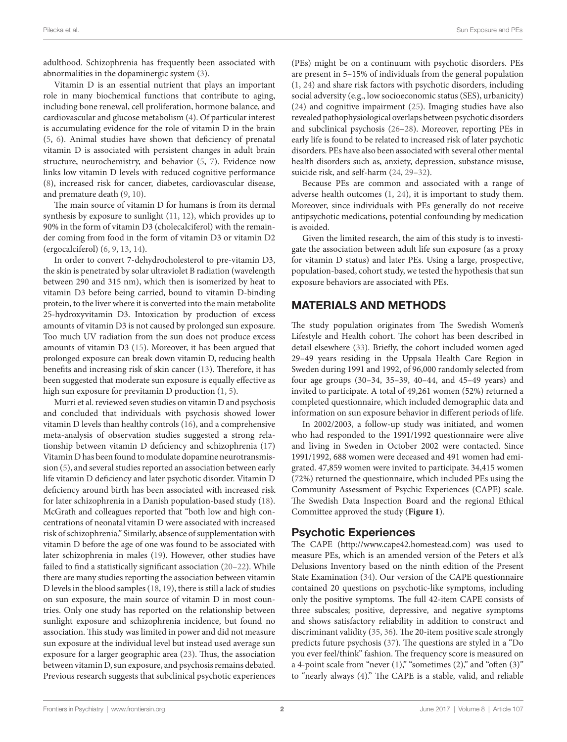adulthood. Schizophrenia has frequently been associated with abnormalities in the dopaminergic system [\(3\)](#page-6-2).

Vitamin D is an essential nutrient that plays an important role in many biochemical functions that contribute to aging, including bone renewal, cell proliferation, hormone balance, and cardiovascular and glucose metabolism [\(4\)](#page-7-0). Of particular interest is accumulating evidence for the role of vitamin D in the brain ([5](#page-7-1), [6\)](#page-7-2). Animal studies have shown that deficiency of prenatal vitamin D is associated with persistent changes in adult brain structure, neurochemistry, and behavior ([5,](#page-7-1) [7](#page-7-3)). Evidence now links low vitamin D levels with reduced cognitive performance ([8](#page-7-4)), increased risk for cancer, diabetes, cardiovascular disease, and premature death ([9](#page-7-5), [10\)](#page-7-6).

The main source of vitamin D for humans is from its dermal synthesis by exposure to sunlight ([11,](#page-7-7) [12](#page-7-8)), which provides up to 90% in the form of vitamin D3 (cholecalciferol) with the remainder coming from food in the form of vitamin D3 or vitamin D2 (ergocalciferol) ([6](#page-7-2), [9](#page-7-5), [13,](#page-7-9) [14](#page-7-10)).

In order to convert 7-dehydrocholesterol to pre-vitamin D3, the skin is penetrated by solar ultraviolet B radiation (wavelength between 290 and 315 nm), which then is isomerized by heat to vitamin D3 before being carried, bound to vitamin D-binding protein, to the liver where it is converted into the main metabolite 25-hydroxyvitamin D3. Intoxication by production of excess amounts of vitamin D3 is not caused by prolonged sun exposure. Too much UV radiation from the sun does not produce excess amounts of vitamin D3 ([15\)](#page-7-11). Moreover, it has been argued that prolonged exposure can break down vitamin D, reducing health benefits and increasing risk of skin cancer ([13\)](#page-7-9). Therefore, it has been suggested that moderate sun exposure is equally effective as high sun exposure for previtamin D production [\(1,](#page-6-0) [5\)](#page-7-1).

Murri et al. reviewed seven studies on vitamin D and psychosis and concluded that individuals with psychosis showed lower vitamin D levels than healthy controls [\(16](#page-7-12)), and a comprehensive meta-analysis of observation studies suggested a strong relationship between vitamin D deficiency and schizophrenia ([17\)](#page-7-13) Vitamin D has been found to modulate dopamine neurotransmission [\(5\)](#page-7-1), and several studies reported an association between early life vitamin D deficiency and later psychotic disorder. Vitamin D deficiency around birth has been associated with increased risk for later schizophrenia in a Danish population-based study ([18\)](#page-7-14). McGrath and colleagues reported that "both low and high concentrations of neonatal vitamin D were associated with increased risk of schizophrenia." Similarly, absence of supplementation with vitamin D before the age of one was found to be associated with later schizophrenia in males ([19\)](#page-7-15). However, other studies have failed to find a statistically significant association [\(20](#page-7-16)[–22](#page-7-17)). While there are many studies reporting the association between vitamin D levels in the blood samples ([18,](#page-7-14) [19\)](#page-7-15), there is still a lack of studies on sun exposure, the main source of vitamin D in most countries. Only one study has reported on the relationship between sunlight exposure and schizophrenia incidence, but found no association. This study was limited in power and did not measure sun exposure at the individual level but instead used average sun exposure for a larger geographic area [\(23\)](#page-7-18). Thus, the association between vitamin D, sun exposure, and psychosis remains debated. Previous research suggests that subclinical psychotic experiences

(PEs) might be on a continuum with psychotic disorders. PEs are present in 5–15% of individuals from the general population [\(1,](#page-6-0) [24\)](#page-7-19) and share risk factors with psychotic disorders, including social adversity (e.g., low socioeconomic status (SES), urbanicity) [\(24\)](#page-7-19) and cognitive impairment [\(25](#page-7-20)). Imaging studies have also revealed pathophysiological overlaps between psychotic disorders and subclinical psychosis ([26–](#page-7-21)[28](#page-7-22)). Moreover, reporting PEs in early life is found to be related to increased risk of later psychotic disorders. PEs have also been associated with several other mental health disorders such as, anxiety, depression, substance misuse, suicide risk, and self-harm ([24,](#page-7-19) [29](#page-7-23)[–32](#page-7-24)).

Because PEs are common and associated with a range of adverse health outcomes [\(1,](#page-6-0) [24](#page-7-19)), it is important to study them. Moreover, since individuals with PEs generally do not receive antipsychotic medications, potential confounding by medication is avoided.

Given the limited research, the aim of this study is to investigate the association between adult life sun exposure (as a proxy for vitamin D status) and later PEs. Using a large, prospective, population-based, cohort study, we tested the hypothesis that sun exposure behaviors are associated with PEs.

# MATERIALS AND METHODS

The study population originates from The Swedish Women's Lifestyle and Health cohort. The cohort has been described in detail elsewhere ([33](#page-7-25)). Briefly, the cohort included women aged 29–49 years residing in the Uppsala Health Care Region in Sweden during 1991 and 1992, of 96,000 randomly selected from four age groups (30–34, 35–39, 40–44, and 45–49 years) and invited to participate. A total of 49,261 women (52%) returned a completed questionnaire, which included demographic data and information on sun exposure behavior in different periods of life.

In 2002/2003, a follow-up study was initiated, and women who had responded to the 1991/1992 questionnaire were alive and living in Sweden in October 2002 were contacted. Since 1991/1992, 688 women were deceased and 491 women had emigrated. 47,859 women were invited to participate. 34,415 women (72%) returned the questionnaire, which included PEs using the Community Assessment of Psychic Experiences (CAPE) scale. The Swedish Data Inspection Board and the regional Ethical Committee approved the study (**[Figure 1](#page-2-0)**).

## Psychotic Experiences

The CAPE (<http://www.cape42.homestead.com>) was used to measure PEs, which is an amended version of the Peters et al.'s Delusions Inventory based on the ninth edition of the Present State Examination ([34\)](#page-7-26). Our version of the CAPE questionnaire contained 20 questions on psychotic-like symptoms, including only the positive symptoms. The full 42-item CAPE consists of three subscales; positive, depressive, and negative symptoms and shows satisfactory reliability in addition to construct and discriminant validity [\(35](#page-7-27), [36\)](#page-7-28). The 20-item positive scale strongly predicts future psychosis [\(37\)](#page-7-29). The questions are styled in a "Do you ever feel/think" fashion. The frequency score is measured on a 4-point scale from "never  $(1)$ ," "sometimes  $(2)$ ," and "often  $(3)$ " to "nearly always (4)." The CAPE is a stable, valid, and reliable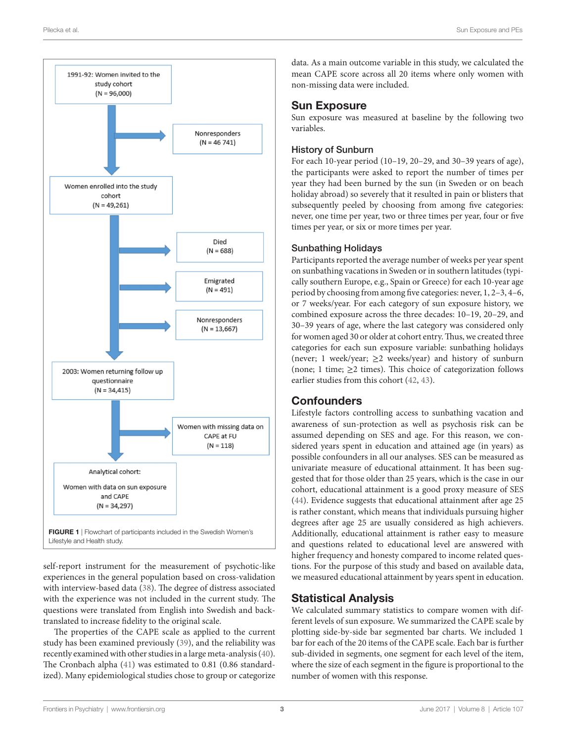

<span id="page-2-0"></span>self-report instrument for the measurement of psychotic-like experiences in the general population based on cross-validation with interview-based data ([38\)](#page-7-30). The degree of distress associated with the experience was not included in the current study. The questions were translated from English into Swedish and backtranslated to increase fidelity to the original scale.

The properties of the CAPE scale as applied to the current study has been examined previously ([39\)](#page-7-31), and the reliability was recently examined with other studies in a large meta-analysis ([40\)](#page-7-32). The Cronbach alpha ([41\)](#page-7-33) was estimated to 0.81 (0.86 standardized). Many epidemiological studies chose to group or categorize data. As a main outcome variable in this study, we calculated the mean CAPE score across all 20 items where only women with non-missing data were included.

#### Sun Exposure

Sun exposure was measured at baseline by the following two variables.

#### History of Sunburn

For each 10-year period (10–19, 20–29, and 30–39 years of age), the participants were asked to report the number of times per year they had been burned by the sun (in Sweden or on beach holiday abroad) so severely that it resulted in pain or blisters that subsequently peeled by choosing from among five categories: never, one time per year, two or three times per year, four or five times per year, or six or more times per year.

#### Sunbathing Holidays

Participants reported the average number of weeks per year spent on sunbathing vacations in Sweden or in southern latitudes (typically southern Europe, e.g., Spain or Greece) for each 10-year age period by choosing from among five categories: never, 1, 2–3, 4–6, or 7 weeks/year. For each category of sun exposure history, we combined exposure across the three decades: 10–19, 20–29, and 30–39 years of age, where the last category was considered only for women aged 30 or older at cohort entry. Thus, we created three categories for each sun exposure variable: sunbathing holidays (never; 1 week/year;  $\geq 2$  weeks/year) and history of sunburn (none; 1 time;  $\geq$  2 times). This choice of categorization follows earlier studies from this cohort ([42,](#page-7-34) [43](#page-7-35)).

#### **Confounders**

Lifestyle factors controlling access to sunbathing vacation and awareness of sun-protection as well as psychosis risk can be assumed depending on SES and age. For this reason, we considered years spent in education and attained age (in years) as possible confounders in all our analyses. SES can be measured as univariate measure of educational attainment. It has been suggested that for those older than 25 years, which is the case in our cohort, educational attainment is a good proxy measure of SES [\(44\)](#page-7-36). Evidence suggests that educational attainment after age 25 is rather constant, which means that individuals pursuing higher degrees after age 25 are usually considered as high achievers. Additionally, educational attainment is rather easy to measure and questions related to educational level are answered with higher frequency and honesty compared to income related questions. For the purpose of this study and based on available data, we measured educational attainment by years spent in education.

## Statistical Analysis

We calculated summary statistics to compare women with different levels of sun exposure. We summarized the CAPE scale by plotting side-by-side bar segmented bar charts. We included 1 bar for each of the 20 items of the CAPE scale. Each bar is further sub-divided in segments, one segment for each level of the item, where the size of each segment in the figure is proportional to the number of women with this response.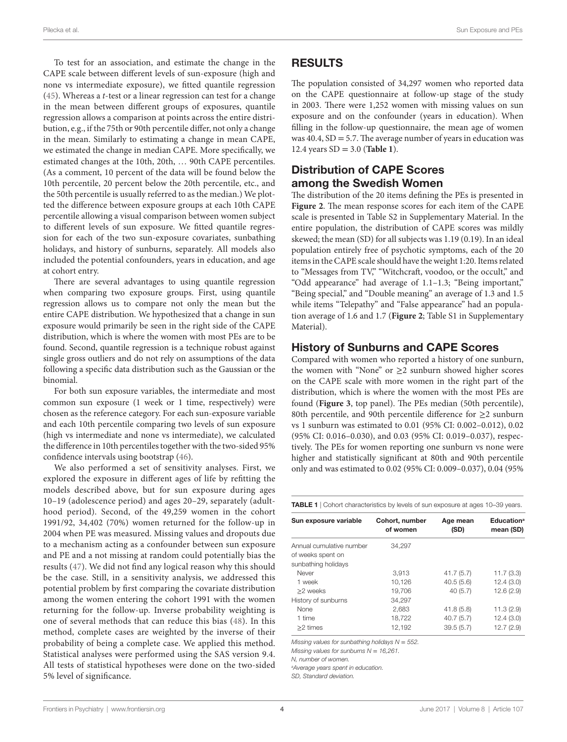To test for an association, and estimate the change in the CAPE scale between different levels of sun-exposure (high and none vs intermediate exposure), we fitted quantile regression ([45\)](#page-7-37). Whereas a *t*-test or a linear regression can test for a change in the mean between different groups of exposures, quantile regression allows a comparison at points across the entire distribution, e.g., if the 75th or 90th percentile differ, not only a change in the mean. Similarly to estimating a change in mean CAPE, we estimated the change in median CAPE. More specifically, we estimated changes at the 10th, 20th, … 90th CAPE percentiles. (As a comment, 10 percent of the data will be found below the 10th percentile, 20 percent below the 20th percentile, etc., and the 50th percentile is usually referred to as the median.) We plotted the difference between exposure groups at each 10th CAPE percentile allowing a visual comparison between women subject to different levels of sun exposure. We fitted quantile regression for each of the two sun-exposure covariates, sunbathing holidays, and history of sunburns, separately. All models also included the potential confounders, years in education, and age at cohort entry.

There are several advantages to using quantile regression when comparing two exposure groups. First, using quantile regression allows us to compare not only the mean but the entire CAPE distribution. We hypothesized that a change in sun exposure would primarily be seen in the right side of the CAPE distribution, which is where the women with most PEs are to be found. Second, quantile regression is a technique robust against single gross outliers and do not rely on assumptions of the data following a specific data distribution such as the Gaussian or the binomial.

For both sun exposure variables, the intermediate and most common sun exposure (1 week or 1 time, respectively) were chosen as the reference category. For each sun-exposure variable and each 10th percentile comparing two levels of sun exposure (high vs intermediate and none vs intermediate), we calculated the difference in 10th percentiles together with the two-sided 95% confidence intervals using bootstrap [\(46](#page-8-0)).

We also performed a set of sensitivity analyses. First, we explored the exposure in different ages of life by refitting the models described above, but for sun exposure during ages 10–19 (adolescence period) and ages 20–29, separately (adulthood period). Second, of the 49,259 women in the cohort 1991/92, 34,402 (70%) women returned for the follow-up in 2004 when PE was measured. Missing values and dropouts due to a mechanism acting as a confounder between sun exposure and PE and a not missing at random could potentially bias the results [\(47\)](#page-8-1). We did not find any logical reason why this should be the case. Still, in a sensitivity analysis, we addressed this potential problem by first comparing the covariate distribution among the women entering the cohort 1991 with the women returning for the follow-up. Inverse probability weighting is one of several methods that can reduce this bias ([48](#page-8-2)). In this method, complete cases are weighted by the inverse of their probability of being a complete case. We applied this method. Statistical analyses were performed using the SAS version 9.4. All tests of statistical hypotheses were done on the two-sided 5% level of significance.

## RESULTS

The population consisted of 34,297 women who reported data on the CAPE questionnaire at follow-up stage of the study in 2003. There were 1,252 women with missing values on sun exposure and on the confounder (years in education). When filling in the follow-up questionnaire, the mean age of women was  $40.4$ ,  $SD = 5.7$ . The average number of years in education was 12.4 years SD = 3.0 (**[Table 1](#page-3-0)**).

# Distribution of CAPE Scores among the Swedish Women

The distribution of the 20 items defining the PEs is presented in **[Figure 2](#page-4-0)**. The mean response scores for each item of the CAPE scale is presented in Table S2 in Supplementary Material. In the entire population, the distribution of CAPE scores was mildly skewed; the mean (SD) for all subjects was 1.19 (0.19). In an ideal population entirely free of psychotic symptoms, each of the 20 items in the CAPE scale should have the weight 1:20. Items related to "Messages from TV," "Witchcraft, voodoo, or the occult," and "Odd appearance" had average of 1.1–1.3; "Being important," "Being special," and "Double meaning" an average of 1.3 and 1.5 while items "Telepathy" and "False appearance" had an population average of 1.6 and 1.7 (**[Figure 2](#page-4-0)**; Table S1 in Supplementary Material).

### History of Sunburns and CAPE Scores

Compared with women who reported a history of one sunburn, the women with "None" or  $\geq$ 2 sunburn showed higher scores on the CAPE scale with more women in the right part of the distribution, which is where the women with the most PEs are found (**[Figure 3](#page-5-0)**, top panel). The PEs median (50th percentile), 80th percentile, and 90th percentile difference for  $\geq$ 2 sunburn vs 1 sunburn was estimated to 0.01 (95% CI: 0.002–0.012), 0.02 (95% CI: 0.016–0.030), and 0.03 (95% CI: 0.019–0.037), respectively. The PEs for women reporting one sunburn vs none were higher and statistically significant at 80th and 90th percentile only and was estimated to 0.02 (95% CI: 0.009–0.037), 0.04 (95%

<span id="page-3-0"></span>

| Sun exposure variable | Cohort number                                                                          | Age mean | <b>Education®</b> |
|-----------------------|----------------------------------------------------------------------------------------|----------|-------------------|
|                       | <b>TABLE 1</b>   Cohort characteristics by levels of sun exposure at ages 10–39 years. |          |                   |

| Sun exposure variable                                                | Cohort, number<br>of women | Age mean<br>(SD) | <b>Education</b> <sup>a</sup><br>mean (SD) |
|----------------------------------------------------------------------|----------------------------|------------------|--------------------------------------------|
| Annual cumulative number<br>of weeks spent on<br>sunbathing holidays | 34.297                     |                  |                                            |
| Never                                                                | 3.913                      | 41.7(5.7)        | 11.7(3.3)                                  |
| 1 week                                                               | 10,126                     | 40.5(5.6)        | 12.4(3.0)                                  |
| >2 weeks                                                             | 19,706                     | 40(5.7)          | 12.6(2.9)                                  |
| History of sunburns                                                  | 34.297                     |                  |                                            |
| None                                                                 | 2,683                      | 41.8(5.8)        | 11.3(2.9)                                  |
| 1 time                                                               | 18,722                     | 40.7(5.7)        | 12.4(3.0)                                  |
| >2 times                                                             | 12,192                     | 39.5(5.7)        | 12.7(2.9)                                  |

*Missing values for sunbathing holidays N* = *552.*

*Missing values for sunburns N* = *16,261.*

*N, number of women.*

*a Average years spent in education.*

*SD, Standard deviation.*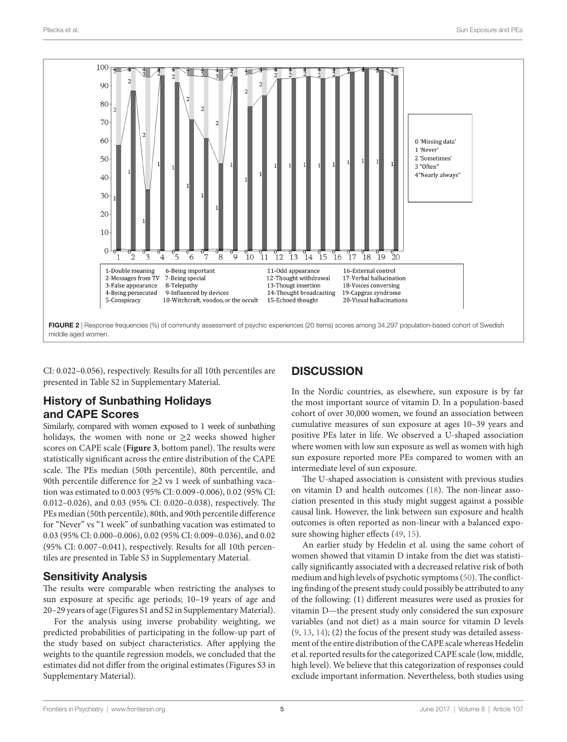

<span id="page-4-0"></span>CI: 0.022–0.056), respectively. Results for all 10th percentiles are presented in Table S2 in Supplementary Material.

# History of Sunbathing Holidays and CAPE Scores

Similarly, compared with women exposed to 1 week of sunbathing holidays, the women with none or  $\geq 2$  weeks showed higher scores on CAPE scale (**[Figure 3](#page-5-0)**, bottom panel). The results were statistically significant across the entire distribution of the CAPE scale. The PEs median (50th percentile), 80th percentile, and 90th percentile difference for  $\geq$  2 vs 1 week of sunbathing vacation was estimated to 0.003 (95% CI: 0.009–0.006), 0.02 (95% CI: 0.012–0.026), and 0.03 (95% CI: 0.020–0.038), respectively. The PEs median (50th percentile), 80th, and 90th percentile difference for "Never" vs "1 week" of sunbathing vacation was estimated to 0.03 (95% CI: 0.000–0.006), 0.02 (95% CI: 0.009–0.036), and 0.02 (95% CI: 0.007–0.041), respectively. Results for all 10th percentiles are presented in Table S3 in Supplementary Material.

# Sensitivity Analysis

The results were comparable when restricting the analyses to sun exposure at specific age periods; 10–19 years of age and 20–29 years of age (Figures S1 and S2 in Supplementary Material).

For the analysis using inverse probability weighting, we predicted probabilities of participating in the follow-up part of the study based on subject characteristics. After applying the weights to the quantile regression models, we concluded that the estimates did not differ from the original estimates (Figures S3 in Supplementary Material).

# **DISCUSSION**

In the Nordic countries, as elsewhere, sun exposure is by far the most important source of vitamin D. In a population-based cohort of over 30,000 women, we found an association between cumulative measures of sun exposure at ages 10–39 years and positive PEs later in life. We observed a U-shaped association where women with low sun exposure as well as women with high sun exposure reported more PEs compared to women with an intermediate level of sun exposure.

The U-shaped association is consistent with previous studies on vitamin D and health outcomes [\(18](#page-7-14)). The non-linear association presented in this study might suggest against a possible causal link. However, the link between sun exposure and health outcomes is often reported as non-linear with a balanced exposure showing higher effects [\(49](#page-8-3), [15\)](#page-7-11).

An earlier study by Hedelin et al. using the same cohort of women showed that vitamin D intake from the diet was statistically significantly associated with a decreased relative risk of both medium and high levels of psychotic symptoms [\(50\)](#page-8-4). The conflicting finding of the present study could possibly be attributed to any of the following: (1) different measures were used as proxies for vitamin D—the present study only considered the sun exposure variables (and not diet) as a main source for vitamin D levels [\(9,](#page-7-5) [13](#page-7-9), [14](#page-7-10)); (2) the focus of the present study was detailed assessment of the entire distribution of the CAPE scale whereas Hedelin et al. reported results for the categorized CAPE scale (low, middle, high level). We believe that this categorization of responses could exclude important information. Nevertheless, both studies using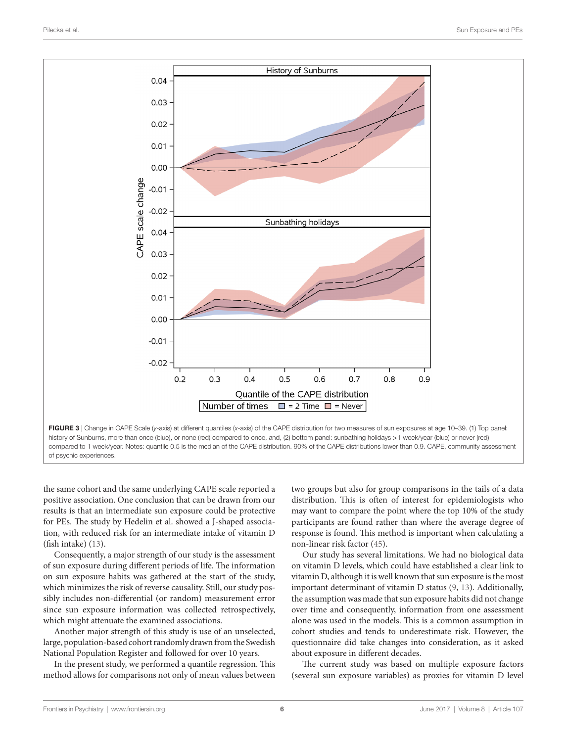

of psychic experiences.

the same cohort and the same underlying CAPE scale reported a positive association. One conclusion that can be drawn from our results is that an intermediate sun exposure could be protective for PEs. The study by Hedelin et al. showed a J-shaped association, with reduced risk for an intermediate intake of vitamin D (fish intake) ([13\)](#page-7-9).

Consequently, a major strength of our study is the assessment of sun exposure during different periods of life. The information on sun exposure habits was gathered at the start of the study, which minimizes the risk of reverse causality. Still, our study possibly includes non-differential (or random) measurement error since sun exposure information was collected retrospectively, which might attenuate the examined associations.

Another major strength of this study is use of an unselected, large, population-based cohort randomly drawn from the Swedish National Population Register and followed for over 10 years.

In the present study, we performed a quantile regression. This method allows for comparisons not only of mean values between

<span id="page-5-0"></span>two groups but also for group comparisons in the tails of a data distribution. This is often of interest for epidemiologists who may want to compare the point where the top 10% of the study participants are found rather than where the average degree of response is found. This method is important when calculating a non-linear risk factor ([45\)](#page-7-37).

Our study has several limitations. We had no biological data on vitamin D levels, which could have established a clear link to vitamin D, although it is well known that sun exposure is the most important determinant of vitamin D status ([9](#page-7-5), [13](#page-7-9)). Additionally, the assumption was made that sun exposure habits did not change over time and consequently, information from one assessment alone was used in the models. This is a common assumption in cohort studies and tends to underestimate risk. However, the questionnaire did take changes into consideration, as it asked about exposure in different decades.

The current study was based on multiple exposure factors (several sun exposure variables) as proxies for vitamin D level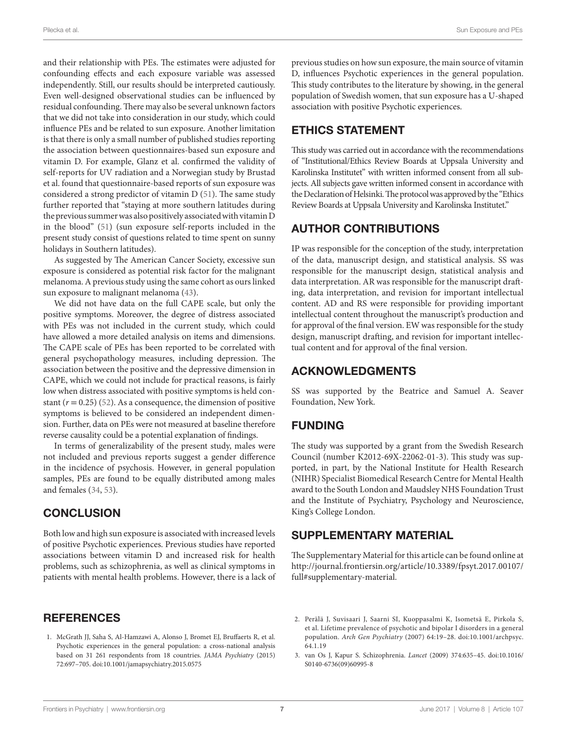and their relationship with PEs. The estimates were adjusted for confounding effects and each exposure variable was assessed independently. Still, our results should be interpreted cautiously. Even well-designed observational studies can be influenced by residual confounding. There may also be several unknown factors that we did not take into consideration in our study, which could influence PEs and be related to sun exposure. Another limitation is that there is only a small number of published studies reporting the association between questionnaires-based sun exposure and vitamin D. For example, Glanz et al. confirmed the validity of self-reports for UV radiation and a Norwegian study by Brustad et al. found that questionnaire-based reports of sun exposure was considered a strong predictor of vitamin D [\(51\)](#page-8-5). The same study further reported that "staying at more southern latitudes during the previous summer was also positively associated with vitamin D in the blood" ([51\)](#page-8-5) (sun exposure self-reports included in the present study consist of questions related to time spent on sunny holidays in Southern latitudes).

As suggested by The American Cancer Society, excessive sun exposure is considered as potential risk factor for the malignant melanoma. A previous study using the same cohort as ours linked sun exposure to malignant melanoma ([43\)](#page-7-35).

We did not have data on the full CAPE scale, but only the positive symptoms. Moreover, the degree of distress associated with PEs was not included in the current study, which could have allowed a more detailed analysis on items and dimensions. The CAPE scale of PEs has been reported to be correlated with general psychopathology measures, including depression. The association between the positive and the depressive dimension in CAPE, which we could not include for practical reasons, is fairly low when distress associated with positive symptoms is held constant  $(r = 0.25)$  [\(52](#page-8-6)). As a consequence, the dimension of positive symptoms is believed to be considered an independent dimension. Further, data on PEs were not measured at baseline therefore reverse causality could be a potential explanation of findings.

In terms of generalizability of the present study, males were not included and previous reports suggest a gender difference in the incidence of psychosis. However, in general population samples, PEs are found to be equally distributed among males and females ([34](#page-7-26), [53](#page-8-7)).

# **CONCLUSION**

Both low and high sun exposure is associated with increased levels of positive Psychotic experiences. Previous studies have reported associations between vitamin D and increased risk for health problems, such as schizophrenia, as well as clinical symptoms in patients with mental health problems. However, there is a lack of

## **REFERENCES**

<span id="page-6-0"></span>1. McGrath JJ, Saha S, Al-Hamzawi A, Alonso J, Bromet EJ, Bruffaerts R, et al. Psychotic experiences in the general population: a cross-national analysis based on 31 261 respondents from 18 countries. *JAMA Psychiatry* (2015) 72:697–705. doi:[10.1001/jamapsychiatry.2015.0575](https://doi.org/10.1001/jamapsychiatry.2015.0575) 

previous studies on how sun exposure, the main source of vitamin D, influences Psychotic experiences in the general population. This study contributes to the literature by showing, in the general population of Swedish women, that sun exposure has a U-shaped association with positive Psychotic experiences.

# ETHICS STATEMENT

This study was carried out in accordance with the recommendations of "Institutional/Ethics Review Boards at Uppsala University and Karolinska Institutet" with written informed consent from all subjects. All subjects gave written informed consent in accordance with the Declaration of Helsinki. The protocol was approved by the "Ethics Review Boards at Uppsala University and Karolinska Institutet."

# AUTHOR CONTRIBUTIONS

IP was responsible for the conception of the study, interpretation of the data, manuscript design, and statistical analysis. SS was responsible for the manuscript design, statistical analysis and data interpretation. AR was responsible for the manuscript drafting, data interpretation, and revision for important intellectual content. AD and RS were responsible for providing important intellectual content throughout the manuscript's production and for approval of the final version. EW was responsible for the study design, manuscript drafting, and revision for important intellectual content and for approval of the final version.

# ACKNOWLEDGMENTS

SS was supported by the Beatrice and Samuel A. Seaver Foundation, New York.

# FUNDING

The study was supported by a grant from the Swedish Research Council (number K2012-69X-22062-01-3). This study was supported, in part, by the National Institute for Health Research (NIHR) Specialist Biomedical Research Centre for Mental Health award to the South London and Maudsley NHS Foundation Trust and the Institute of Psychiatry, Psychology and Neuroscience, King's College London.

## SUPPLEMENTARY MATERIAL

The Supplementary Material for this article can be found online at [http://journal.frontiersin.org/article/10.3389/fpsyt.2017.00107/](http://journal.frontiersin.org/article/10.3389/fpsyt.2017.00107/full#supplementary-material) [full#supplementary-material.](http://journal.frontiersin.org/article/10.3389/fpsyt.2017.00107/full#supplementary-material)

<span id="page-6-2"></span>3. van Os J, Kapur S. Schizophrenia. *Lancet* (2009) 374:635–45. doi[:10.1016/](https://doi.org/10.1016/S0140-6736(09)60995-8) [S0140-6736\(09\)60995-8](https://doi.org/10.1016/S0140-6736(09)60995-8) 

<span id="page-6-1"></span><sup>2.</sup> Perälä J, Suvisaari J, Saarni SI, Kuoppasalmi K, Isometsä E, Pirkola S, et al. Lifetime prevalence of psychotic and bipolar I disorders in a general population. *Arch Gen Psychiatry* (2007) 64:19–28. doi[:10.1001/archpsyc.](https://doi.org/10.1001/archpsyc.
64.1.19) [64.1.19](https://doi.org/10.1001/archpsyc.
64.1.19)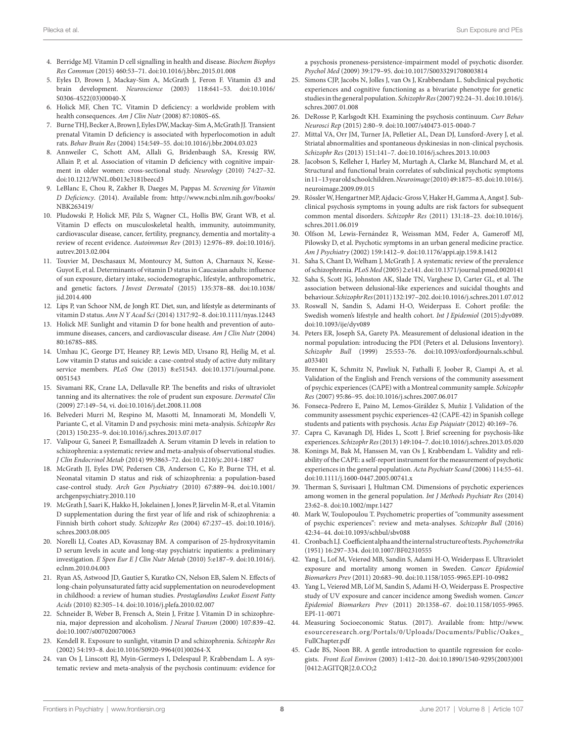- <span id="page-7-0"></span>4. Berridge MJ. Vitamin D cell signalling in health and disease. *Biochem Biophys Res Commun* (2015) 460:53–71. doi[:10.1016/j.bbrc.2015.01.008](https://doi.org/10.1016/j.bbrc.2015.01.008)
- <span id="page-7-1"></span>5. Eyles D, Brown J, Mackay-Sim A, McGrath J, Feron F. Vitamin d3 and brain development. *Neuroscience* (2003) 118:641–53. doi[:10.1016/](https://doi.org/10.1016/S0306-4522(03)00040-X) [S0306-4522\(03\)00040-X](https://doi.org/10.1016/S0306-4522(03)00040-X)
- <span id="page-7-2"></span>6. Holick MF, Chen TC. Vitamin D deficiency: a worldwide problem with health consequences. *Am J Clin Nutr* (2008) 87:1080S–6S.
- <span id="page-7-3"></span>7. Burne THJ, Becker A, Brown J, Eyles DW, Mackay-Sim A, McGrath JJ. Transient prenatal Vitamin D deficiency is associated with hyperlocomotion in adult rats. *Behav Brain Res* (2004) 154:549–55. doi:[10.1016/j.bbr.2004.03.023](https://doi.org/10.1016/j.bbr.2004.03.023)
- <span id="page-7-4"></span>8. Annweiler C, Schott AM, Allali G, Bridenbaugh SA, Kressig RW, Allain P, et al. Association of vitamin D deficiency with cognitive impairment in older women: cross-sectional study. *Neurology* (2010) 74:27–32. doi:[10.1212/WNL.0b013e3181beecd3](https://doi.org/10.1212/WNL.0b013e3181beecd3)
- <span id="page-7-5"></span>9. LeBlanc E, Chou R, Zakher B, Daeges M, Pappas M. *Screening for Vitamin D Deficiency*. (2014). Available from: [http://www.ncbi.nlm.nih.gov/books/](http://www.ncbi.nlm.nih.gov/books/NBK263419/) [NBK263419/](http://www.ncbi.nlm.nih.gov/books/NBK263419/)
- <span id="page-7-6"></span>10. Pludowski P, Holick MF, Pilz S, Wagner CL, Hollis BW, Grant WB, et al. Vitamin D effects on musculoskeletal health, immunity, autoimmunity, cardiovascular disease, cancer, fertility, pregnancy, dementia and mortality-a review of recent evidence. *Autoimmun Rev* (2013) 12:976–89. doi:[10.1016/j.](https://doi.org/10.1016/j.autrev.2013.02.004) [autrev.2013.02.004](https://doi.org/10.1016/j.autrev.2013.02.004)
- <span id="page-7-7"></span>11. Touvier M, Deschasaux M, Montourcy M, Sutton A, Charnaux N, Kesse-Guyot E, et al. Determinants of vitamin D status in Caucasian adults: influence of sun exposure, dietary intake, sociodemographic, lifestyle, anthropometric, and genetic factors. *J Invest Dermatol* (2015) 135:378–88. doi[:10.1038/](https://doi.org/10.1038/jid.2014.400) [jid.2014.400](https://doi.org/10.1038/jid.2014.400)
- <span id="page-7-8"></span>12. Lips P, van Schoor NM, de Jongh RT. Diet, sun, and lifestyle as determinants of vitamin D status. *Ann N Y Acad Sci* (2014) 1317:92–8. doi[:10.1111/nyas.12443](https://doi.org/10.1111/nyas.12443)
- <span id="page-7-9"></span>13. Holick MF. Sunlight and vitamin D for bone health and prevention of autoimmune diseases, cancers, and cardiovascular disease. *Am J Clin Nutr* (2004) 80:1678S–88S.
- <span id="page-7-10"></span>14. Umhau JC, George DT, Heaney RP, Lewis MD, Ursano RJ, Heilig M, et al. Low vitamin D status and suicide: a case-control study of active duty military service members. *PLoS One* (2013) 8:e51543. doi[:10.1371/journal.pone.](https://doi.org/10.1371/journal.pone.
0051543) [0051543](https://doi.org/10.1371/journal.pone.
0051543)
- <span id="page-7-11"></span>15. Sivamani RK, Crane LA, Dellavalle RP. The benefits and risks of ultraviolet tanning and its alternatives: the role of prudent sun exposure. *Dermatol Clin* (2009) 27:149–54, vi. doi[:10.1016/j.det.2008.11.008](https://doi.org/10.1016/j.det.2008.11.008)
- <span id="page-7-12"></span>16. Belvederi Murri M, Respino M, Masotti M, Innamorati M, Mondelli V, Pariante C, et al. Vitamin D and psychosis: mini meta-analysis. *Schizophr Res* (2013) 150:235–9. doi[:10.1016/j.schres.2013.07.017](https://doi.org/10.1016/j.schres.2013.07.017)
- <span id="page-7-13"></span>17. Valipour G, Saneei P, Esmaillzadeh A. Serum vitamin D levels in relation to schizophrenia: a systematic review and meta-analysis of observational studies. *J Clin Endocrinol Metab* (2014) 99:3863–72. doi[:10.1210/jc.2014-1887](https://doi.org/10.1210/jc.2014-1887)
- <span id="page-7-14"></span>18. McGrath JJ, Eyles DW, Pedersen CB, Anderson C, Ko P, Burne TH, et al. Neonatal vitamin D status and risk of schizophrenia: a population-based case-control study. *Arch Gen Psychiatry* (2010) 67:889–94. doi[:10.1001/](https://doi.org/10.1001/archgenpsychiatry.2010.110) [archgenpsychiatry.2010.110](https://doi.org/10.1001/archgenpsychiatry.2010.110)
- <span id="page-7-15"></span>19. McGrath J, Saari K, Hakko H, Jokelainen J, Jones P, Järvelin M-R, et al. Vitamin D supplementation during the first year of life and risk of schizophrenia: a Finnish birth cohort study. *Schizophr Res* (2004) 67:237–45. doi:[10.1016/j.](https://doi.org/10.1016/j.schres.2003.08.005) [schres.2003.08.005](https://doi.org/10.1016/j.schres.2003.08.005)
- <span id="page-7-16"></span>20. Norelli LJ, Coates AD, Kovasznay BM. A comparison of 25-hydroxyvitamin D serum levels in acute and long-stay psychiatric inpatients: a preliminary investigation. *E Spen Eur E J Clin Nutr Metab* (2010) 5:e187–9. doi:[10.1016/j.](https://doi.org/10.1016/j.eclnm.2010.04.003) [eclnm.2010.04.003](https://doi.org/10.1016/j.eclnm.2010.04.003)
- 21. Ryan AS, Astwood JD, Gautier S, Kuratko CN, Nelson EB, Salem N. Effects of long-chain polyunsaturated fatty acid supplementation on neurodevelopment in childhood: a review of human studies. *Prostaglandins Leukot Essent Fatty Acids* (2010) 82:305–14. doi:[10.1016/j.plefa.2010.02.007](https://doi.org/10.1016/j.plefa.2010.02.007)
- <span id="page-7-17"></span>22. Schneider B, Weber B, Frensch A, Stein J, Fritze J. Vitamin D in schizophrenia, major depression and alcoholism. *J Neural Transm* (2000) 107:839–42. doi:[10.1007/s007020070063](https://doi.org/10.1007/s007020070063)
- <span id="page-7-18"></span>23. Kendell R. Exposure to sunlight, vitamin D and schizophrenia. *Schizophr Res* (2002) 54:193–8. doi:[10.1016/S0920-9964\(01\)00264-X](https://doi.org/10.1016/S0920-9964(01)00264-X)
- <span id="page-7-19"></span>24. van Os J, Linscott RJ, Myin-Germeys I, Delespaul P, Krabbendam L. A systematic review and meta-analysis of the psychosis continuum: evidence for

<span id="page-7-20"></span>a psychosis proneness-persistence-impairment model of psychotic disorder. *Psychol Med* (2009) 39:179–95. doi[:10.1017/S0033291708003814](https://doi.org/10.1017/S0033291708003814)

- 25. Simons CJP, Jacobs N, Jolles J, van Os J, Krabbendam L. Subclinical psychotic experiences and cognitive functioning as a bivariate phenotype for genetic studies in the general population. *Schizophr Res* (2007) 92:24–31. doi:[10.1016/j.](https://doi.org/10.1016/j.schres.2007.01.008) [schres.2007.01.008](https://doi.org/10.1016/j.schres.2007.01.008)
- <span id="page-7-21"></span>26. DeRosse P, Karlsgodt KH. Examining the psychosis continuum. *Curr Behav Neurosci Rep* (2015) 2:80–9. doi[:10.1007/s40473-015-0040-7](https://doi.org/10.1007/s40473-015-0040-7)
- 27. Mittal VA, Orr JM, Turner JA, Pelletier AL, Dean DJ, Lunsford-Avery J, et al. Striatal abnormalities and spontaneous dyskinesias in non-clinical psychosis. *Schizophr Res* (2013) 151:141–7. doi[:10.1016/j.schres.2013.10.003](https://doi.org/10.1016/j.schres.2013.10.003)
- <span id="page-7-22"></span>28. Jacobson S, Kelleher I, Harley M, Murtagh A, Clarke M, Blanchard M, et al. Structural and functional brain correlates of subclinical psychotic symptoms in 11–13 year old schoolchildren. *Neuroimage* (2010) 49:1875–85. doi:[10.1016/j.](https://doi.org/10.1016/j.
neuroimage.2009.09.015) [neuroimage.2009.09.015](https://doi.org/10.1016/j.
neuroimage.2009.09.015)
- <span id="page-7-23"></span>29. Rössler W, Hengartner MP, Ajdacic-Gross V, Haker H, Gamma A, Angst J. Subclinical psychosis symptoms in young adults are risk factors for subsequent common mental disorders. *Schizophr Res* (2011) 131:18–23. doi:[10.1016/j.](https://doi.org/10.1016/j.
schres.2011.06.019) [schres.2011.06.019](https://doi.org/10.1016/j.
schres.2011.06.019)
- 30. Olfson M, Lewis-Fernández R, Weissman MM, Feder A, Gameroff MJ, Pilowsky D, et al. Psychotic symptoms in an urban general medicine practice. *Am J Psychiatry* (2002) 159:1412–9. doi[:10.1176/appi.ajp.159.8.1412](https://doi.org/10.1176/appi.ajp.159.8.1412)
- 31. Saha S, Chant D, Welham J, McGrath J. A systematic review of the prevalence of schizophrenia. *PLoS Med* (2005) 2:e141. doi:[10.1371/journal.pmed.0020141](https://doi.org/10.1371/journal.pmed.0020141)
- <span id="page-7-24"></span>32. Saha S, Scott JG, Johnston AK, Slade TN, Varghese D, Carter GL, et al. The association between delusional-like experiences and suicidal thoughts and behaviour. *Schizophr Res* (2011) 132:197–202. doi[:10.1016/j.schres.2011.07.012](https://doi.org/10.1016/j.schres.2011.07.012)
- <span id="page-7-25"></span>33. Roswall N, Sandin S, Adami H-O, Weiderpass E. Cohort profile: the Swedish women's lifestyle and health cohort. *Int J Epidemiol* (2015):dyv089. doi:[10.1093/ije/dyv089](https://doi.org/10.1093/ije/dyv089)
- <span id="page-7-26"></span>34. Peters ER, Joseph SA, Garety PA. Measurement of delusional ideation in the normal population: introducing the PDI (Peters et al. Delusions Inventory). *Schizophr Bull* (1999) 25:553–76. doi:[10.1093/oxfordjournals.schbul.](https://doi.org/10.1093/oxfordjournals.schbul.
a033401) [a033401](https://doi.org/10.1093/oxfordjournals.schbul.
a033401)
- <span id="page-7-27"></span>35. Brenner K, Schmitz N, Pawliuk N, Fathalli F, Joober R, Ciampi A, et al. Validation of the English and French versions of the community assessment of psychic experiences (CAPE) with a Montreal community sample. *Schizophr Res* (2007) 95:86–95. doi[:10.1016/j.schres.2007.06.017](https://doi.org/10.1016/j.schres.2007.06.017)
- <span id="page-7-28"></span>36. Fonseca-Pedrero E, Paino M, Lemos-Giráldez S, Muñiz J. Validation of the community assessment psychic experiences-42 (CAPE-42) in Spanish college students and patients with psychosis. *Actas Esp Psiquiatr* (2012) 40:169–76.
- <span id="page-7-29"></span>37. Capra C, Kavanagh DJ, Hides L, Scott J. Brief screening for psychosis-like experiences. *Schizophr Res* (2013) 149:104–7. doi[:10.1016/j.schres.2013.05.020](https://doi.org/10.1016/j.schres.2013.05.020)
- <span id="page-7-30"></span>38. Konings M, Bak M, Hanssen M, van Os J, Krabbendam L. Validity and reliability of the CAPE: a self-report instrument for the measurement of psychotic experiences in the general population. *Acta Psychiatr Scand* (2006) 114:55–61. doi:[10.1111/j.1600-0447.2005.00741.x](https://doi.org/10.1111/j.1600-0447.2005.00741.x)
- <span id="page-7-31"></span>39. Therman S, Suvisaari J, Hultman CM. Dimensions of psychotic experiences among women in the general population. *Int J Methods Psychiatr Res* (2014) 23:62–8. doi:[10.1002/mpr.1427](https://doi.org/10.1002/mpr.1427)
- <span id="page-7-32"></span>40. Mark W, Toulopoulou T. Psychometric properties of "community assessment of psychic experiences": review and meta-analyses. *Schizophr Bull* (2016) 42:34–44. doi[:10.1093/schbul/sbv088](https://doi.org/10.1093/schbul/sbv088)
- <span id="page-7-33"></span>41. Cronbach LJ. Coefficient alpha and the internal structure of tests. *Psychometrika* (1951) 16:297–334. doi:[10.1007/BF02310555](https://doi.org/10.1007/BF02310555)
- <span id="page-7-34"></span>42. Yang L, Lof M, Veierød MB, Sandin S, Adami H-O, Weiderpass E. Ultraviolet exposure and mortality among women in Sweden. *Cancer Epidemiol Biomarkers Prev* (2011) 20:683–90. doi[:10.1158/1055-9965.EPI-10-0982](https://doi.org/10.1158/1055-9965.EPI-10-0982)
- <span id="page-7-35"></span>43. Yang L, Veierød MB, Löf M, Sandin S, Adami H-O, Weiderpass E. Prospective study of UV exposure and cancer incidence among Swedish women. *Cancer Epidemiol Biomarkers Prev* (2011) 20:1358–67. doi:[10.1158/1055-9965.](https://doi.org/10.1158/1055-9965.EPI-11-0071) [EPI-11-0071](https://doi.org/10.1158/1055-9965.EPI-11-0071)
- <span id="page-7-36"></span>44. Measuring Socioeconomic Status. (2017). Available from: [http://www.](http://www.esourceresearch.org/Portals/0/Uploads/Documents/Public/Oakes_FullChapter.pdf) [esourceresearch.org/Portals/0/Uploads/Documents/Public/Oakes\\_](http://www.esourceresearch.org/Portals/0/Uploads/Documents/Public/Oakes_FullChapter.pdf) [FullChapter.pdf](http://www.esourceresearch.org/Portals/0/Uploads/Documents/Public/Oakes_FullChapter.pdf)
- <span id="page-7-37"></span>45. Cade BS, Noon BR. A gentle introduction to quantile regression for ecologists. *Front Ecol Environ* (2003) 1:412–20. doi[:10.1890/1540-9295\(2003\)001](https://doi.org/10.1890/1540-9295(2003)001
[0412:AGITQR]2.0.CO;2) [\[0412:AGITQR\]2.0.CO;2](https://doi.org/10.1890/1540-9295(2003)001
[0412:AGITQR]2.0.CO;2)